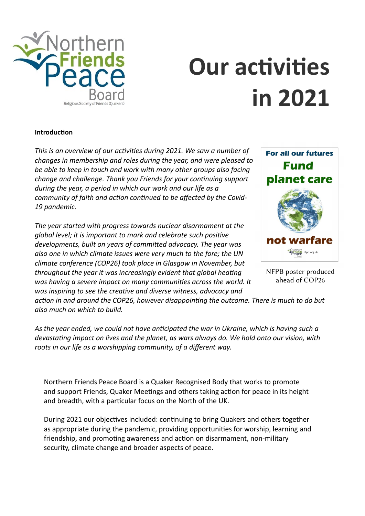

# **Our activities in 2021**

#### **Introduction**

*This is an overview of our activities during 2021. We saw a number of changes in membership and roles during the year, and were pleased to be able to keep in touch and work with many other groups also facing change and challenge. Thank you Friends for your continuing support during the year, a period in which our work and our life as a community of faith and action continued to be affected by the Covid-19 pandemic.* 

*The year started with progress towards nuclear disarmament at the global level; it is important to mark and celebrate such positive developments, built on years of committed advocacy. The year was also one in which climate issues were very much to the fore; the UN climate conference (COP26) took place in Glasgow in November, but throughout the year it was increasingly evident that global heating was having a severe impact on many communities across the world. It was inspiring to see the creative and diverse witness, advocacy and*



NFPB poster produced ahead of COP26

*action in and around the COP26, however disappointing the outcome. There is much to do but also much on which to build.*

*As the year ended, we could not have anticipated the war in Ukraine, which is having such a devastating impact on lives and the planet, as wars always do. We hold onto our vision, with roots in our life as a worshipping community, of a different way.*

Northern Friends Peace Board is a Quaker Recognised Body that works to promote and support Friends, Quaker Meetings and others taking action for peace in its height and breadth, with a particular focus on the North of the UK.

During 2021 our objectives included: continuing to bring Quakers and others together as appropriate during the pandemic, providing opportunities for worship, learning and friendship, and promoting awareness and action on disarmament, non-military security, climate change and broader aspects of peace.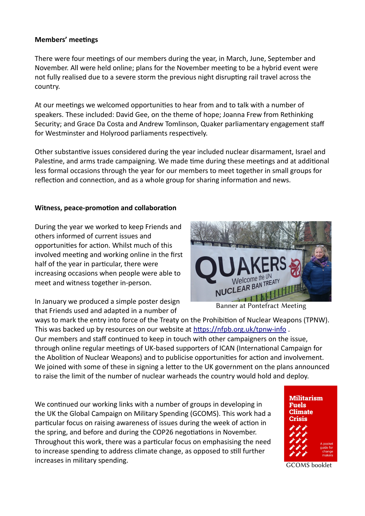## **Members' meetings**

There were four meetings of our members during the year, in March, June, September and November. All were held online; plans for the November meeting to be a hybrid event were not fully realised due to a severe storm the previous night disrupting rail travel across the country.

At our meetings we welcomed opportunities to hear from and to talk with a number of speakers. These included: David Gee, on the theme of hope; Joanna Frew from Rethinking Security; and Grace Da Costa and Andrew Tomlinson, Quaker parliamentary engagement staff for Westminster and Holyrood parliaments respectively.

Other substantive issues considered during the year included nuclear disarmament, Israel and Palestine, and arms trade campaigning. We made time during these meetings and at additional less formal occasions through the year for our members to meet together in small groups for reflection and connection, and as a whole group for sharing information and news.

## **Witness, peace-promotion and collaboration**

During the year we worked to keep Friends and others informed of current issues and opportunities for action. Whilst much of this involved meeting and working online in the first half of the year in particular, there were increasing occasions when people were able to meet and witness together in-person.

In January we produced a simple poster design that Friends used and adapted in a number of



Banner at Pontefract Meeting

ways to mark the entry into force of the Treaty on the Prohibition of Nuclear Weapons (TPNW). This was backed up by resources on our website at <https://nfpb.org.uk/tpnw-info> . Our members and staff continued to keep in touch with other campaigners on the issue, through online regular meetings of UK-based supporters of ICAN (International Campaign for the Abolition of Nuclear Weapons) and to publicise opportunities for action and involvement. We joined with some of these in signing a letter to the UK government on the plans announced to raise the limit of the number of nuclear warheads the country would hold and deploy.

We continued our working links with a number of groups in developing in the UK the Global Campaign on Military Spending (GCOMS). This work had a particular focus on raising awareness of issues during the week of action in the spring, and before and during the COP26 negotiations in November. Throughout this work, there was a particular focus on emphasising the need to increase spending to address climate change, as opposed to still further increases in military spending. The contract of the contract of the contract of the contract of the contract of the contract of the contract of the contract of the contract of the contract of the contract of the contract o

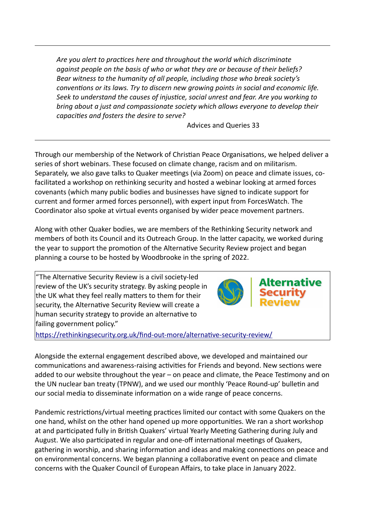*Are you alert to practices here and throughout the world which discriminate against people on the basis of who or what they are or because of their beliefs? Bear witness to the humanity of all people, including those who break society's conventions or its laws. Try to discern new growing points in social and economic life. Seek to understand the causes of injustice, social unrest and fear. Are you working to bring about a just and compassionate society which allows everyone to develop their capacities and fosters the desire to serve?*

Advices and Queries 33

Through our membership of the Network of Christian Peace Organisations, we helped deliver a series of short webinars. These focused on climate change, racism and on militarism. Separately, we also gave talks to Quaker meetings (via Zoom) on peace and climate issues, cofacilitated a workshop on rethinking security and hosted a webinar looking at armed forces covenants (which many public bodies and businesses have signed to indicate support for current and former armed forces personnel), with expert input from ForcesWatch. The Coordinator also spoke at virtual events organised by wider peace movement partners.

Along with other Quaker bodies, we are members of the Rethinking Security network and members of both its Council and its Outreach Group. In the latter capacity, we worked during the year to support the promotion of the Alternative Security Review project and began planning a course to be hosted by Woodbrooke in the spring of 2022.

"The Alternative Security Review is a civil society-led review of the UK's security strategy. By asking people in the UK what they feel really matters to them for their security, the Alternative Security Review will create a human security strategy to provide an alternative to failing government policy."



<https://rethinkingsecurity.org.uk/find-out-more/alternative-security-review/>

Alongside the external engagement described above, we developed and maintained our communications and awareness-raising activities for Friends and beyond. New sections were added to our website throughout the year – on peace and climate, the Peace Testimony and on the UN nuclear ban treaty (TPNW), and we used our monthly 'Peace Round-up' bulletin and our social media to disseminate information on a wide range of peace concerns.

Pandemic restrictions/virtual meeting practices limited our contact with some Quakers on the one hand, whilst on the other hand opened up more opportunities. We ran a short workshop at and participated fully in British Quakers' virtual Yearly Meeting Gathering during July and August. We also participated in regular and one-off international meetings of Quakers, gathering in worship, and sharing information and ideas and making connections on peace and on environmental concerns. We began planning a collaborative event on peace and climate concerns with the Quaker Council of European Affairs, to take place in January 2022.